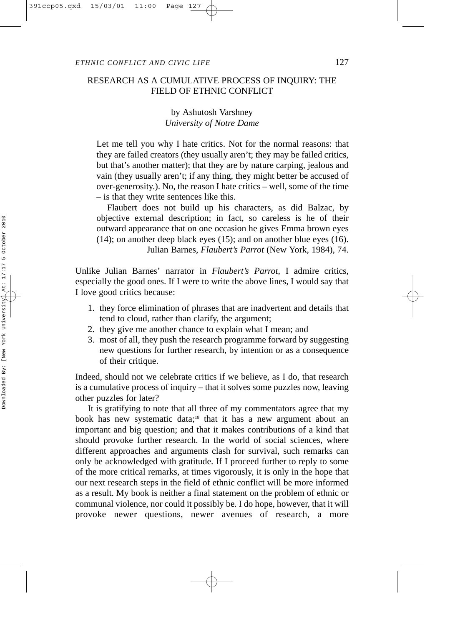# RESEARCH AS A CUMULATIVE PROCESS OF INQUIRY: THE FIELD OF ETHNIC CONFLICT

# by Ashutosh Varshney *University of Notre Dame*

Let me tell you why I hate critics. Not for the normal reasons: that they are failed creators (they usually aren't; they may be failed critics, but that's another matter); that they are by nature carping, jealous and vain (they usually aren't; if any thing, they might better be accused of over-generosity.). No, the reason I hate critics – well, some of the time – is that they write sentences like this.

Flaubert does not build up his characters, as did Balzac, by objective external description; in fact, so careless is he of their outward appearance that on one occasion he gives Emma brown eyes (14); on another deep black eyes (15); and on another blue eyes (16). Julian Barnes, *Flaubert's Parrot* (New York, 1984), 74.

Unlike Julian Barnes' narrator in *Flaubert's Parrot*, I admire critics, especially the good ones. If I were to write the above lines, I would say that I love good critics because:

- 1. they force elimination of phrases that are inadvertent and details that tend to cloud, rather than clarify, the argument;
- 2. they give me another chance to explain what I mean; and
- 3. most of all, they push the research programme forward by suggesting new questions for further research, by intention or as a consequence of their critique.

Indeed, should not we celebrate critics if we believe, as I do, that research is a cumulative process of inquiry – that it solves some puzzles now, leaving other puzzles for later?

It is gratifying to note that all three of my commentators agree that my book has new systematic data;<sup>18</sup> that it has a new argument about an important and big question; and that it makes contributions of a kind that should provoke further research. In the world of social sciences, where different approaches and arguments clash for survival, such remarks can only be acknowledged with gratitude. If I proceed further to reply to some of the more critical remarks, at times vigorously, it is only in the hope that our next research steps in the field of ethnic conflict will be more informed as a result. My book is neither a final statement on the problem of ethnic or communal violence, nor could it possibly be. I do hope, however, that it will provoke newer questions, newer avenues of research, a more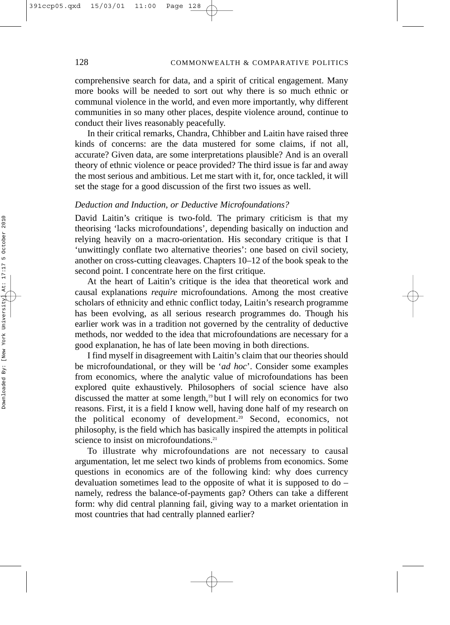comprehensive search for data, and a spirit of critical engagement. Many more books will be needed to sort out why there is so much ethnic or communal violence in the world, and even more importantly, why different communities in so many other places, despite violence around, continue to conduct their lives reasonably peacefully.

In their critical remarks, Chandra, Chhibber and Laitin have raised three kinds of concerns: are the data mustered for some claims, if not all, accurate? Given data, are some interpretations plausible? And is an overall theory of ethnic violence or peace provided? The third issue is far and away the most serious and ambitious. Let me start with it, for, once tackled, it will set the stage for a good discussion of the first two issues as well.

## *Deduction and Induction, or Deductive Microfoundations?*

David Laitin's critique is two-fold. The primary criticism is that my theorising 'lacks microfoundations', depending basically on induction and relying heavily on a macro-orientation. His secondary critique is that I 'unwittingly conflate two alternative theories': one based on civil society, another on cross-cutting cleavages. Chapters 10–12 of the book speak to the second point. I concentrate here on the first critique.

At the heart of Laitin's critique is the idea that theoretical work and causal explanations *require* microfoundations. Among the most creative scholars of ethnicity and ethnic conflict today, Laitin's research programme has been evolving, as all serious research programmes do. Though his earlier work was in a tradition not governed by the centrality of deductive methods, nor wedded to the idea that microfoundations are necessary for a good explanation, he has of late been moving in both directions.

I find myself in disagreement with Laitin's claim that our theories should be microfoundational, or they will be '*ad hoc*'. Consider some examples from economics, where the analytic value of microfoundations has been explored quite exhaustively. Philosophers of social science have also discussed the matter at some length,19 but I will rely on economics for two reasons. First, it is a field I know well, having done half of my research on the political economy of development.20 Second, economics, not philosophy, is the field which has basically inspired the attempts in political science to insist on microfoundations.<sup>21</sup>

To illustrate why microfoundations are not necessary to causal argumentation, let me select two kinds of problems from economics. Some questions in economics are of the following kind: why does currency devaluation sometimes lead to the opposite of what it is supposed to do – namely, redress the balance-of-payments gap? Others can take a different form: why did central planning fail, giving way to a market orientation in most countries that had centrally planned earlier?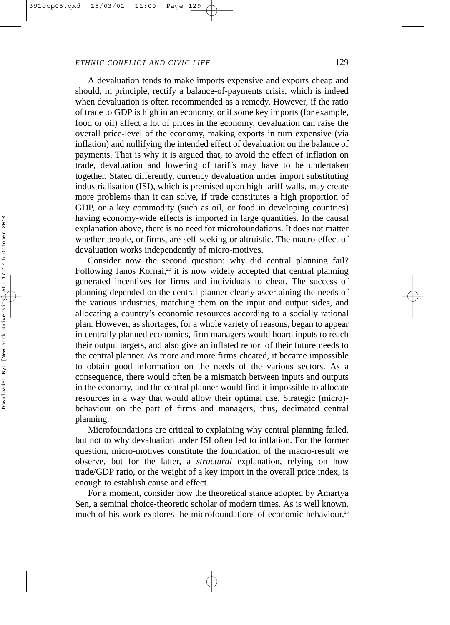A devaluation tends to make imports expensive and exports cheap and should, in principle, rectify a balance-of-payments crisis, which is indeed when devaluation is often recommended as a remedy. However, if the ratio of trade to GDP is high in an economy, or if some key imports (for example, food or oil) affect a lot of prices in the economy, devaluation can raise the overall price-level of the economy, making exports in turn expensive (via inflation) and nullifying the intended effect of devaluation on the balance of payments. That is why it is argued that, to avoid the effect of inflation on trade, devaluation and lowering of tariffs may have to be undertaken together. Stated differently, currency devaluation under import substituting industrialisation (ISI), which is premised upon high tariff walls, may create more problems than it can solve, if trade constitutes a high proportion of GDP, or a key commodity (such as oil, or food in developing countries) having economy-wide effects is imported in large quantities. In the causal explanation above, there is no need for microfoundations. It does not matter whether people, or firms, are self-seeking or altruistic. The macro-effect of devaluation works independently of micro-motives.

Consider now the second question: why did central planning fail? Following Janos Kornai, $2$  it is now widely accepted that central planning generated incentives for firms and individuals to cheat. The success of planning depended on the central planner clearly ascertaining the needs of the various industries, matching them on the input and output sides, and allocating a country's economic resources according to a socially rational plan. However, as shortages, for a whole variety of reasons, began to appear in centrally planned economies, firm managers would hoard inputs to reach their output targets, and also give an inflated report of their future needs to the central planner. As more and more firms cheated, it became impossible to obtain good information on the needs of the various sectors. As a consequence, there would often be a mismatch between inputs and outputs in the economy, and the central planner would find it impossible to allocate resources in a way that would allow their optimal use. Strategic (micro) behaviour on the part of firms and managers, thus, decimated central planning.

Microfoundations are critical to explaining why central planning failed, but not to why devaluation under ISI often led to inflation. For the former question, micro-motives constitute the foundation of the macro-result we observe, but for the latter, a *structural* explanation, relying on how trade/GDP ratio, or the weight of a key import in the overall price index, is enough to establish cause and effect.

For a moment, consider now the theoretical stance adopted by Amartya Sen, a seminal choice-theoretic scholar of modern times. As is well known, much of his work explores the microfoundations of economic behaviour,<sup>23</sup>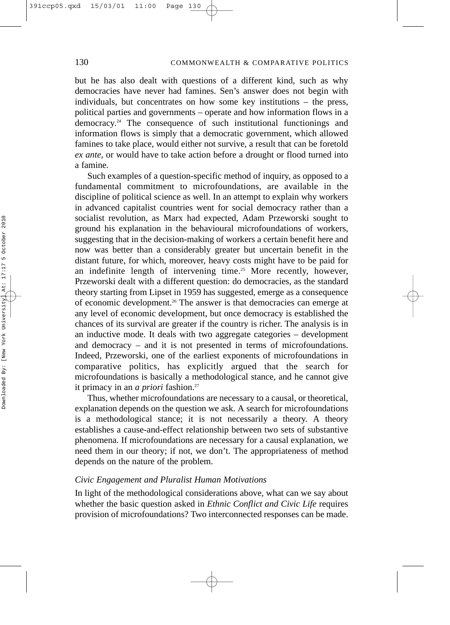but he has also dealt with questions of a different kind, such as why democracies have never had famines. Sen's answer does not begin with individuals, but concentrates on how some key institutions – the press, political parties and governments – operate and how information flows in a  $d$ emocracy.<sup>24</sup> The consequence of such institutional functionings and information flows is simply that a democratic government, which allowed famines to take place, would either not survive, a result that can be foretold *ex ante,* or would have to take action before a drought or flood turned into a famine*.*

Such examples of a question-specific method of inquiry, as opposed to a fundamental commitment to microfoundations, are available in the discipline of political science as well. In an attempt to explain why workers in advanced capitalist countries went for social democracy rather than a socialist revolution, as Marx had expected, Adam Przeworski sought to ground his explanation in the behavioural microfoundations of workers, suggesting that in the decision-making of workers a certain benefit here and now was better than a considerably greater but uncertain benefit in the distant future, for which, moreover, heavy costs might have to be paid for an indefinite length of intervening time.<sup>25</sup> More recently, however, Przeworski dealt with a different question: do democracies, as the standard theory starting from Lipset in 1959 has suggested, emerge as a consequence of economic development.<sup>26</sup> The answer is that democracies can emerge at any level of economic development, but once democracy is established the chances of its survival are greater if the country is richer. The analysis is in an inductive mode. It deals with two aggregate categories – development and democracy – and it is not presented in terms of microfoundations. Indeed, Przeworski, one of the earliest exponents of microfoundations in comparative politics, has explicitly argued that the search for microfoundations is basically a methodological stance, and he cannot give it primacy in an *a priori* fashion.<sup>27</sup>

Thus, whether microfoundations are necessary to a causal, or theoretical, explanation depends on the question we ask. A search for microfoundations is a methodological stance; it is not necessarily a theory. A theory establishes a cause-and-effect relationship between two sets of substantive phenomena. If microfoundations are necessary for a causal explanation, we need them in our theory; if not, we don't. The appropriateness of method depends on the nature of the problem.

### *Civic Engagement and Pluralist Human Motivations*

In light of the methodological considerations above, what can we say about whether the basic question asked in *Ethnic Conflict and Civic Life* requires provision of microfoundations? Two interconnected responses can be made.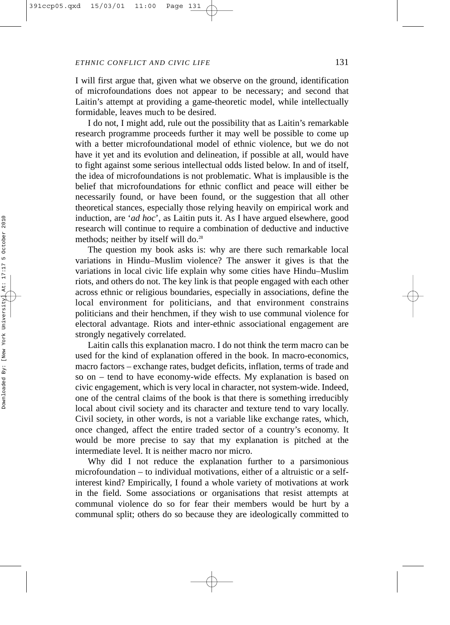I will first argue that, given what we observe on the ground, identification of microfoundations does not appear to be necessary; and second that Laitin's attempt at providing a game-theoretic model, while intellectually formidable, leaves much to be desired.

I do not, I might add, rule out the possibility that as Laitin's remarkable research programme proceeds further it may well be possible to come up with a better microfoundational model of ethnic violence, but we do not have it yet and its evolution and delineation, if possible at all, would have to fight against some serious intellectual odds listed below. In and of itself, the idea of microfoundations is not problematic. What is implausible is the belief that microfoundations for ethnic conflict and peace will either be necessarily found, or have been found, or the suggestion that all other theoretical stances, especially those relying heavily on empirical work and induction, are '*ad hoc*', as Laitin puts it. As I have argued elsewhere, good research will continue to require a combination of deductive and inductive methods; neither by itself will do.<sup>28</sup>

The question my book asks is: why are there such remarkable local variations in Hindu–Muslim violence? The answer it gives is that the variations in local civic life explain why some cities have Hindu–Muslim riots, and others do not. The key link is that people engaged with each other across ethnic or religious boundaries, especially in associations, define the local environment for politicians, and that environment constrains politicians and their henchmen, if they wish to use communal violence for electoral advantage. Riots and inter-ethnic associational engagement are strongly negatively correlated.

Laitin calls this explanation macro. I do not think the term macro can be used for the kind of explanation offered in the book. In macro-economics, macro factors – exchange rates, budget deficits, inflation, terms of trade and so on – tend to have economy-wide effects. My explanation is based on civic engagement, which is very local in character, not system-wide. Indeed, one of the central claims of the book is that there is something irreducibly local about civil society and its character and texture tend to vary locally. Civil society, in other words, is not a variable like exchange rates, which, once changed, affect the entire traded sector of a country's economy. It would be more precise to say that my explanation is pitched at the intermediate level. It is neither macro nor micro.

Why did I not reduce the explanation further to a parsimonious microfoundation – to individual motivations, either of a altruistic or a selfinterest kind? Empirically, I found a whole variety of motivations at work in the field. Some associations or organisations that resist attempts at communal violence do so for fear their members would be hurt by a communal split; others do so because they are ideologically committed to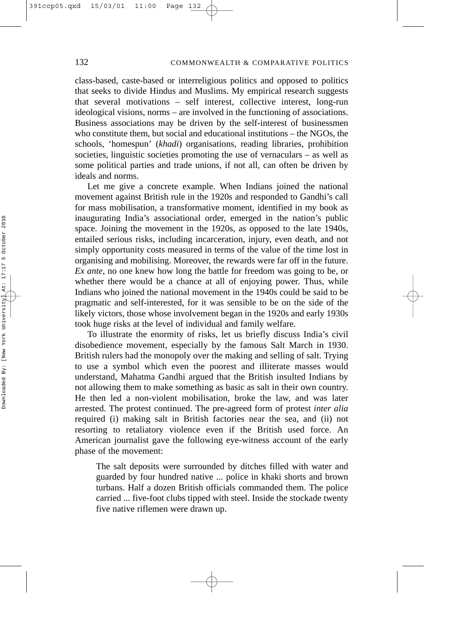class-based, caste-based or interreligious politics and opposed to politics that seeks to divide Hindus and Muslims. My empirical research suggests that several motivations – self interest, collective interest, long-run ideological visions, norms – are involved in the functioning of associations. Business associations may be driven by the self-interest of businessmen who constitute them, but social and educational institutions – the NGOs, the schools, 'homespun' (*khadi*) organisations, reading libraries, prohibition societies, linguistic societies promoting the use of vernaculars – as well as some political parties and trade unions, if not all, can often be driven by ideals and norms.

Let me give a concrete example. When Indians joined the national movement against British rule in the 1920s and responded to Gandhi's call for mass mobilisation, a transformative moment, identified in my book as inaugurating India's associational order, emerged in the nation's public space. Joining the movement in the 1920s, as opposed to the late 1940s, entailed serious risks, including incarceration, injury, even death, and not simply opportunity costs measured in terms of the value of the time lost in organising and mobilising. Moreover, the rewards were far off in the future. *Ex ante*, no one knew how long the battle for freedom was going to be, or whether there would be a chance at all of enjoying power. Thus, while Indians who joined the national movement in the 1940s could be said to be pragmatic and self-interested, for it was sensible to be on the side of the likely victors, those whose involvement began in the 1920s and early 1930s took huge risks at the level of individual and family welfare.

To illustrate the enormity of risks, let us briefly discuss India's civil disobedience movement, especially by the famous Salt March in 1930. British rulers had the monopoly over the making and selling of salt. Trying to use a symbol which even the poorest and illiterate masses would understand, Mahatma Gandhi argued that the British insulted Indians by not allowing them to make something as basic as salt in their own country. He then led a non-violent mobilisation, broke the law, and was later arrested. The protest continued. The pre-agreed form of protest *inter alia* required (i) making salt in British factories near the sea, and (ii) not resorting to retaliatory violence even if the British used force. An American journalist gave the following eye-witness account of the early phase of the movement:

The salt deposits were surrounded by ditches filled with water and guarded by four hundred native ... police in khaki shorts and brown turbans. Half a dozen British officials commanded them. The police carried ... five-foot clubs tipped with steel. Inside the stockade twenty five native riflemen were drawn up.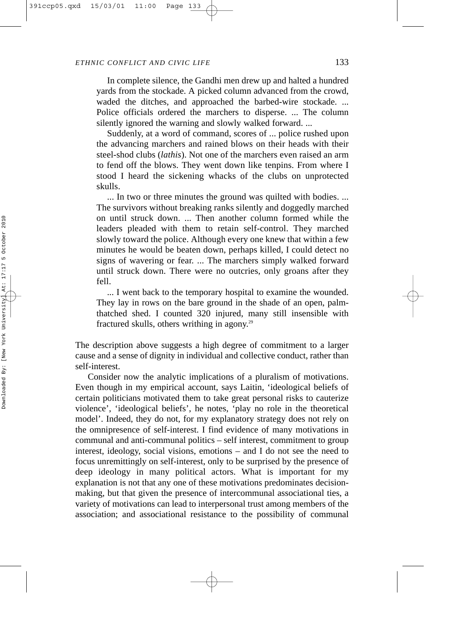In complete silence, the Gandhi men drew up and halted a hundred yards from the stockade. A picked column advanced from the crowd, waded the ditches, and approached the barbed-wire stockade. ... Police officials ordered the marchers to disperse. ... The column silently ignored the warning and slowly walked forward. ...

Suddenly, at a word of command, scores of ... police rushed upon the advancing marchers and rained blows on their heads with their steel-shod clubs (*lathis*). Not one of the marchers even raised an arm to fend off the blows. They went down like tenpins. From where I stood I heard the sickening whacks of the clubs on unprotected skulls.

... In two or three minutes the ground was quilted with bodies. ... The survivors without breaking ranks silently and doggedly marched on until struck down. ... Then another column formed while the leaders pleaded with them to retain self-control. They marched slowly toward the police. Although every one knew that within a few minutes he would be beaten down, perhaps killed, I could detect no signs of wavering or fear. ... The marchers simply walked forward until struck down. There were no outcries, only groans after they fell.

... I went back to the temporary hospital to examine the wounded. They lay in rows on the bare ground in the shade of an open, palmthatched shed. I counted 320 injured, many still insensible with fractured skulls, others writhing in agony.<sup>29</sup>

The description above suggests a high degree of commitment to a larger cause and a sense of dignity in individual and collective conduct, rather than self-interest.

Consider now the analytic implications of a pluralism of motivations. Even though in my empirical account, says Laitin, 'ideological beliefs of certain politicians motivated them to take great personal risks to cauterize violence', 'ideological beliefs', he notes, 'play no role in the theoretical model'. Indeed, they do not, for my explanatory strategy does not rely on the omnipresence of self-interest. I find evidence of many motivations in communal and anti-communal politics – self interest, commitment to group interest, ideology, social visions, emotions – and I do not see the need to focus unremittingly on self-interest, only to be surprised by the presence of deep ideology in many political actors. What is important for my explanation is not that any one of these motivations predominates decisionmaking, but that given the presence of intercommunal associational ties, a variety of motivations can lead to interpersonal trust among members of the association; and associational resistance to the possibility of communal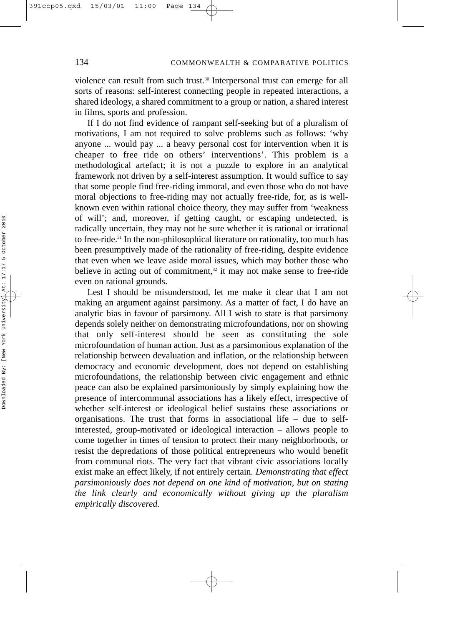violence can result from such trust.<sup>30</sup> Interpersonal trust can emerge for all sorts of reasons: self-interest connecting people in repeated interactions, a shared ideology, a shared commitment to a group or nation, a shared interest in films, sports and profession.

If I do not find evidence of rampant self-seeking but of a pluralism of motivations, I am not required to solve problems such as follows: 'why anyone ... would pay ... a heavy personal cost for intervention when it is cheaper to free ride on others' interventions'. This problem is a methodological artefact; it is not a puzzle to explore in an analytical framework not driven by a self-interest assumption. It would suffice to say that some people find free-riding immoral, and even those who do not have moral objections to free-riding may not actually free-ride, for, as is wellknown even within rational choice theory, they may suffer from 'weakness of will'; and, moreover, if getting caught, or escaping undetected, is radically uncertain, they may not be sure whether it is rational or irrational to free-ride.<sup>31</sup> In the non-philosophical literature on rationality, too much has been presumptively made of the rationality of free-riding, despite evidence that even when we leave aside moral issues, which may bother those who believe in acting out of commitment,<sup>32</sup> it may not make sense to free-ride even on rational grounds.

Lest I should be misunderstood, let me make it clear that I am not making an argument against parsimony. As a matter of fact, I do have an analytic bias in favour of parsimony. All I wish to state is that parsimony depends solely neither on demonstrating microfoundations, nor on showing that only self-interest should be seen as constituting the sole microfoundation of human action. Just as a parsimonious explanation of the relationship between devaluation and inflation, or the relationship between democracy and economic development, does not depend on establishing microfoundations, the relationship between civic engagement and ethnic peace can also be explained parsimoniously by simply explaining how the presence of intercommunal associations has a likely effect, irrespective of whether self-interest or ideological belief sustains these associations or organisations. The trust that forms in associational life – due to selfinterested, group-motivated or ideological interaction – allows people to come together in times of tension to protect their many neighborhoods, or resist the depredations of those political entrepreneurs who would benefit from communal riots. The very fact that vibrant civic associations locally exist make an effect likely, if not entirely certain*. Demonstrating that effect parsimoniously does not depend on one kind of motivation, but on stating the link clearly and economically without giving up the pluralism empirically discovered.*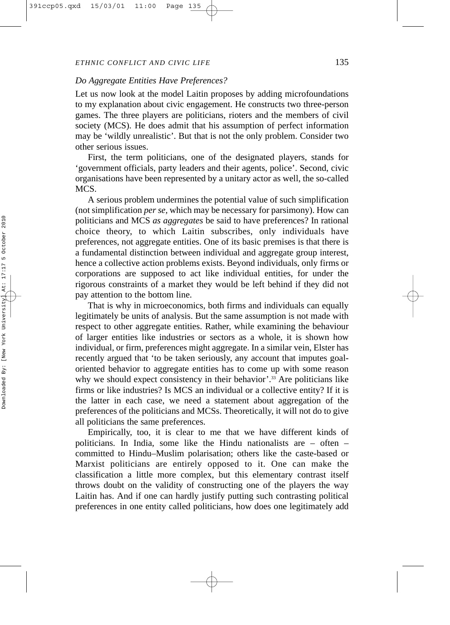### *Do Aggregate Entities Have Preferences?*

Let us now look at the model Laitin proposes by adding microfoundations to my explanation about civic engagement. He constructs two three-person games. The three players are politicians, rioters and the members of civil society (MCS). He does admit that his assumption of perfect information may be 'wildly unrealistic'. But that is not the only problem. Consider two other serious issues.

First, the term politicians, one of the designated players, stands for 'government officials, party leaders and their agents, police'. Second, civic organisations have been represented by a unitary actor as well, the so-called MCS.

A serious problem undermines the potential value of such simplification (not simplification *per se,* which may be necessary for parsimony). How can politicians and MCS *as aggregates* be said to have preferences? In rational choice theory, to which Laitin subscribes, only individuals have preferences, not aggregate entities. One of its basic premises is that there is a fundamental distinction between individual and aggregate group interest, hence a collective action problems exists. Beyond individuals, only firms or corporations are supposed to act like individual entities, for under the rigorous constraints of a market they would be left behind if they did not pay attention to the bottom line.

That is why in microeconomics, both firms and individuals can equally legitimately be units of analysis. But the same assumption is not made with respect to other aggregate entities. Rather, while examining the behaviour of larger entities like industries or sectors as a whole, it is shown how individual, or firm, preferences might aggregate. In a similar vein, Elster has recently argued that 'to be taken seriously, any account that imputes goaloriented behavior to aggregate entities has to come up with some reason why we should expect consistency in their behavior'.<sup>33</sup> Are politicians like firms or like industries? Is MCS an individual or a collective entity? If it is the latter in each case, we need a statement about aggregation of the preferences of the politicians and MCSs. Theoretically, it will not do to give all politicians the same preferences.

Empirically, too, it is clear to me that we have different kinds of politicians. In India, some like the Hindu nationalists are – often – committed to Hindu–Muslim polarisation; others like the caste-based or Marxist politicians are entirely opposed to it. One can make the classification a little more complex, but this elementary contrast itself throws doubt on the validity of constructing one of the players the way Laitin has. And if one can hardly justify putting such contrasting political preferences in one entity called politicians, how does one legitimately add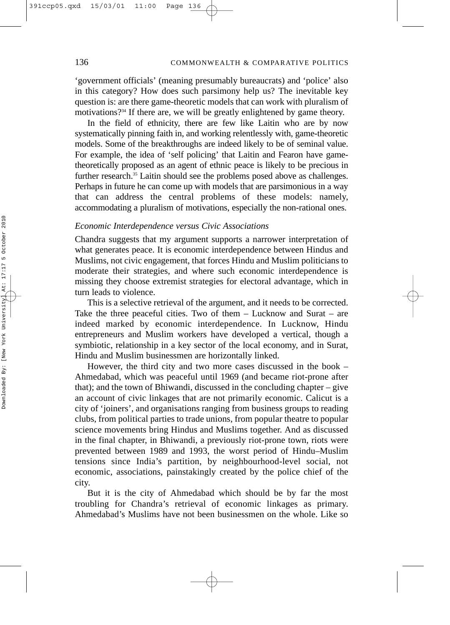'government officials' (meaning presumably bureaucrats) and 'police' also in this category? How does such parsimony help us? The inevitable key question is: are there game-theoretic models that can work with pluralism of motivations?<sup>34</sup> If there are, we will be greatly enlightened by game theory.

In the field of ethnicity, there are few like Laitin who are by now systematically pinning faith in, and working relentlessly with, game-theoretic models. Some of the breakthroughs are indeed likely to be of seminal value. For example, the idea of 'self policing' that Laitin and Fearon have gametheoretically proposed as an agent of ethnic peace is likely to be precious in further research.<sup>35</sup> Laitin should see the problems posed above as challenges. Perhaps in future he can come up with models that are parsimonious in a way that can address the central problems of these models: namely, accommodating a pluralism of motivations, especially the non-rational ones.

# *Economic Interdependence versus Civic Associations*

Chandra suggests that my argument supports a narrower interpretation of what generates peace. It is economic interdependence between Hindus and Muslims, not civic engagement, that forces Hindu and Muslim politicians to moderate their strategies, and where such economic interdependence is missing they choose extremist strategies for electoral advantage, which in turn leads to violence.

This is a selective retrieval of the argument, and it needs to be corrected. Take the three peaceful cities. Two of them – Lucknow and Surat – are indeed marked by economic interdependence. In Lucknow, Hindu entrepreneurs and Muslim workers have developed a vertical, though a symbiotic, relationship in a key sector of the local economy, and in Surat, Hindu and Muslim businessmen are horizontally linked.

However, the third city and two more cases discussed in the book – Ahmedabad, which was peaceful until 1969 (and became riot-prone after that); and the town of Bhiwandi, discussed in the concluding chapter – give an account of civic linkages that are not primarily economic. Calicut is a city of 'joiners', and organisations ranging from business groups to reading clubs, from political parties to trade unions, from popular theatre to popular science movements bring Hindus and Muslims together. And as discussed in the final chapter, in Bhiwandi, a previously riot-prone town, riots were prevented between 1989 and 1993, the worst period of Hindu–Muslim tensions since India's partition, by neighbourhood-level social, not economic, associations, painstakingly created by the police chief of the city.

But it is the city of Ahmedabad which should be by far the most troubling for Chandra's retrieval of economic linkages as primary. Ahmedabad's Muslims have not been businessmen on the whole. Like so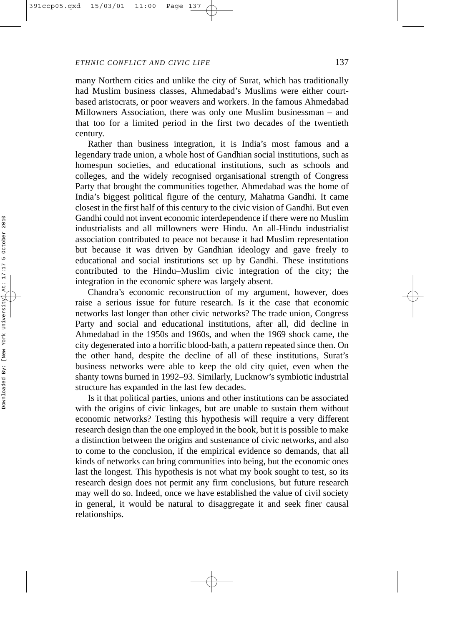many Northern cities and unlike the city of Surat, which has traditionally had Muslim business classes, Ahmedabad's Muslims were either courtbased aristocrats, or poor weavers and workers. In the famous Ahmedabad Millowners Association, there was only one Muslim businessman – and that too for a limited period in the first two decades of the twentieth century.

Rather than business integration, it is India's most famous and a legendary trade union, a whole host of Gandhian social institutions, such as homespun societies, and educational institutions, such as schools and colleges, and the widely recognised organisational strength of Congress Party that brought the communities together. Ahmedabad was the home of India's biggest political figure of the century, Mahatma Gandhi. It came closest in the first half of this century to the civic vision of Gandhi. But even Gandhi could not invent economic interdependence if there were no Muslim industrialists and all millowners were Hindu. An all-Hindu industrialist association contributed to peace not because it had Muslim representation but because it was driven by Gandhian ideology and gave freely to educational and social institutions set up by Gandhi. These institutions contributed to the Hindu–Muslim civic integration of the city; the integration in the economic sphere was largely absent.

Chandra's economic reconstruction of my argument, however, does raise a serious issue for future research. Is it the case that economic networks last longer than other civic networks? The trade union, Congress Party and social and educational institutions, after all, did decline in Ahmedabad in the 1950s and 1960s, and when the 1969 shock came, the city degenerated into a horrific blood-bath, a pattern repeated since then. On the other hand, despite the decline of all of these institutions, Surat's business networks were able to keep the old city quiet, even when the shanty towns burned in 1992–93. Similarly, Lucknow's symbiotic industrial structure has expanded in the last few decades.

Is it that political parties, unions and other institutions can be associated with the origins of civic linkages, but are unable to sustain them without economic networks? Testing this hypothesis will require a very different research design than the one employed in the book, but it is possible to make a distinction between the origins and sustenance of civic networks, and also to come to the conclusion, if the empirical evidence so demands, that all kinds of networks can bring communities into being, but the economic ones last the longest. This hypothesis is not what my book sought to test, so its research design does not permit any firm conclusions, but future research may well do so. Indeed, once we have established the value of civil society in general, it would be natural to disaggregate it and seek finer causal relationships.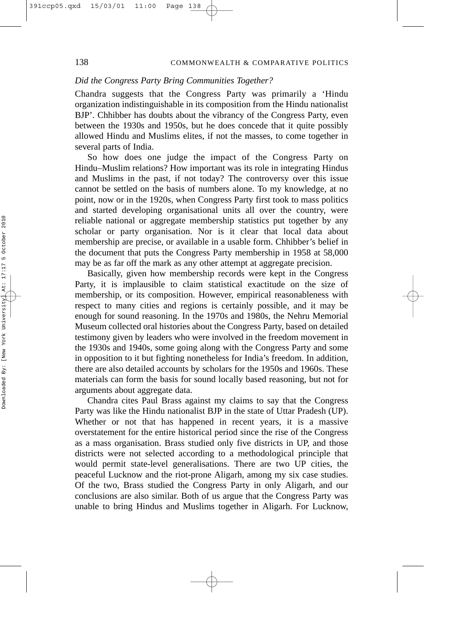## *Did the Congress Party Bring Communities Together?*

Chandra suggests that the Congress Party was primarily a 'Hindu organization indistinguishable in its composition from the Hindu nationalist BJP'. Chhibber has doubts about the vibrancy of the Congress Party, even between the 1930s and 1950s, but he does concede that it quite possibly allowed Hindu and Muslims elites, if not the masses, to come together in several parts of India.

So how does one judge the impact of the Congress Party on Hindu–Muslim relations? How important was its role in integrating Hindus and Muslims in the past, if not today? The controversy over this issue cannot be settled on the basis of numbers alone. To my knowledge, at no point, now or in the 1920s, when Congress Party first took to mass politics and started developing organisational units all over the country, were reliable national or aggregate membership statistics put together by any scholar or party organisation. Nor is it clear that local data about membership are precise, or available in a usable form. Chhibber's belief in the document that puts the Congress Party membership in 1958 at 58,000 may be as far off the mark as any other attempt at aggregate precision.

Basically, given how membership records were kept in the Congress Party, it is implausible to claim statistical exactitude on the size of membership, or its composition. However, empirical reasonableness with respect to many cities and regions is certainly possible, and it may be enough for sound reasoning. In the 1970s and 1980s, the Nehru Memorial Museum collected oral histories about the Congress Party, based on detailed testimony given by leaders who were involved in the freedom movement in the 1930s and 1940s, some going along with the Congress Party and some in opposition to it but fighting nonetheless for India's freedom. In addition, there are also detailed accounts by scholars for the 1950s and 1960s. These materials can form the basis for sound locally based reasoning, but not for arguments about aggregate data.

Chandra cites Paul Brass against my claims to say that the Congress Party was like the Hindu nationalist BJP in the state of Uttar Pradesh (UP). Whether or not that has happened in recent years, it is a massive overstatement for the entire historical period since the rise of the Congress as a mass organisation. Brass studied only five districts in UP, and those districts were not selected according to a methodological principle that would permit state-level generalisations. There are two UP cities, the peaceful Lucknow and the riot-prone Aligarh, among my six case studies. Of the two, Brass studied the Congress Party in only Aligarh, and our conclusions are also similar. Both of us argue that the Congress Party was unable to bring Hindus and Muslims together in Aligarh. For Lucknow,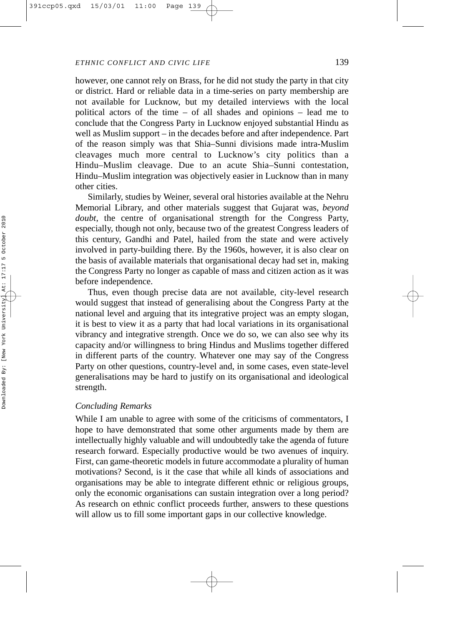however, one cannot rely on Brass, for he did not study the party in that city or district. Hard or reliable data in a time-series on party membership are not available for Lucknow, but my detailed interviews with the local political actors of the time – of all shades and opinions – lead me to conclude that the Congress Party in Lucknow enjoyed substantial Hindu as well as Muslim support – in the decades before and after independence. Part of the reason simply was that Shia–Sunni divisions made intra-Muslim cleavages much more central to Lucknow's city politics than a Hindu–Muslim cleavage. Due to an acute Shia–Sunni contestation, Hindu–Muslim integration was objectively easier in Lucknow than in many other cities.

Similarly, studies by Weiner, several oral histories available at the Nehru Memorial Library, and other materials suggest that Gujarat was, *beyond doubt*, the centre of organisational strength for the Congress Party, especially, though not only, because two of the greatest Congress leaders of this century, Gandhi and Patel, hailed from the state and were actively involved in party-building there. By the 1960s, however, it is also clear on the basis of available materials that organisational decay had set in, making the Congress Party no longer as capable of mass and citizen action as it was before independence.

Thus, even though precise data are not available, city-level research would suggest that instead of generalising about the Congress Party at the national level and arguing that its integrative project was an empty slogan, it is best to view it as a party that had local variations in its organisational vibrancy and integrative strength. Once we do so, we can also see why its capacity and/or willingness to bring Hindus and Muslims together differed in different parts of the country. Whatever one may say of the Congress Party on other questions, country-level and, in some cases, even state-level generalisations may be hard to justify on its organisational and ideological strength.

## *Concluding Remarks*

While I am unable to agree with some of the criticisms of commentators, I hope to have demonstrated that some other arguments made by them are intellectually highly valuable and will undoubtedly take the agenda of future research forward. Especially productive would be two avenues of inquiry. First, can game-theoretic models in future accommodate a plurality of human motivations? Second, is it the case that while all kinds of associations and organisations may be able to integrate different ethnic or religious groups, only the economic organisations can sustain integration over a long period? As research on ethnic conflict proceeds further, answers to these questions will allow us to fill some important gaps in our collective knowledge.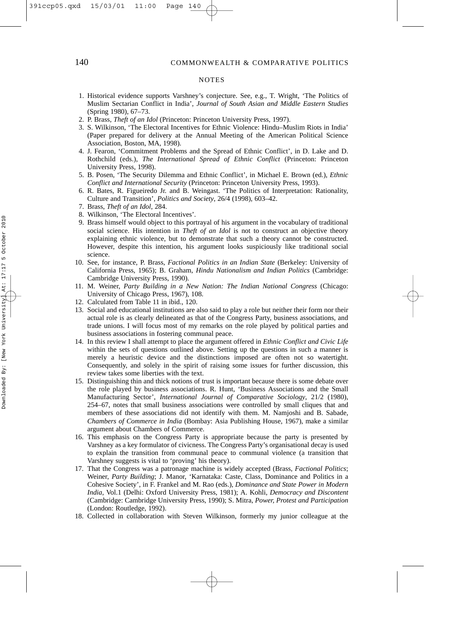#### **NOTES**

- 1. Historical evidence supports Varshney's conjecture. See, e.g., T. Wright, 'The Politics of Muslim Sectarian Conflict in India', *Journal of South Asian and Middle Eastern Studies* (Spring 1980), 67–73.
- 2. P. Brass, *Theft of an Idol* (Princeton: Princeton University Press, 1997).
- 3. S. Wilkinson, 'The Electoral Incentives for Ethnic Violence: Hindu–Muslim Riots in India' (Paper prepared for delivery at the Annual Meeting of the American Political Science Association, Boston, MA, 1998).
- 4. J. Fearon, 'Commitment Problems and the Spread of Ethnic Conflict', in D. Lake and D. Rothchild (eds.), *The International Spread of Ethnic Conflict* (Princeton: Princeton University Press, 1998).
- 5. B. Posen, 'The Security Dilemma and Ethnic Conflict', in Michael E. Brown (ed.), *Ethnic Conflict and International Security* (Princeton: Princeton University Press, 1993).
- 6. R. Bates, R. Figueiredo Jr. and B. Weingast. 'The Politics of Interpretation: Rationality, Culture and Transition', *Politics and Society*, 26/4 (1998), 603–42.
- 7. Brass, *Theft of an Idol*, 284.
- 8. Wilkinson, 'The Electoral Incentives'.
- 9. Brass himself would object to this portrayal of his argument in the vocabulary of traditional social science. His intention in *Theft of an Idol* is not to construct an objective theory explaining ethnic violence, but to demonstrate that such a theory cannot be constructed. However, despite this intention, his argument looks suspiciously like traditional social science.
- 10. See, for instance, P. Brass, *Factional Politics in an Indian State* (Berkeley: University of California Press, 1965); B. Graham, *Hindu Nationalism and Indian Politics* (Cambridge: Cambridge University Press, 1990).
- 11. M. Weiner, *Party Building in a New Nation: The Indian National Congress* (Chicago: University of Chicago Press, 1967), 108.
- 12. Calculated from Table 11 in ibid., 120.
- 13. Social and educational institutions are also said to play a role but neither their form nor their actual role is as clearly delineated as that of the Congress Party, business associations, and trade unions. I will focus most of my remarks on the role played by political parties and business associations in fostering communal peace.
- 14. In this review I shall attempt to place the argument offered in *Ethnic Conflict and Civic Life* within the sets of questions outlined above. Setting up the questions in such a manner is merely a heuristic device and the distinctions imposed are often not so watertight. Consequently, and solely in the spirit of raising some issues for further discussion, this review takes some liberties with the text.
- 15. Distinguishing thin and thick notions of trust is important because there is some debate over the role played by business associations. R. Hunt, 'Business Associations and the Small Manufacturing Sector', *International Journal of Comparative Sociology*, 21/2 (1980), 254–67, notes that small business associations were controlled by small cliques that and members of these associations did not identify with them. M. Namjoshi and B. Sabade, *Chambers of Commerce in India* (Bombay: Asia Publishing House, 1967), make a similar argument about Chambers of Commerce.
- 16. This emphasis on the Congress Party is appropriate because the party is presented by Varshney as a key formulator of civicness. The Congress Party's organisational decay is used to explain the transition from communal peace to communal violence (a transition that Varshney suggests is vital to 'proving' his theory).
- 17. That the Congress was a patronage machine is widely accepted (Brass, *Factional Politics* ; Weiner, *Party Building*; J. Manor, 'Karnataka: Caste, Class, Dominance and Politics in a Cohesive Society', in F. Frankel and M. Rao (eds.), *Dominance and State Power in Modern India*, Vol.1 (Delhi: Oxford University Press, 1981); A. Kohli, *Democracy and Discontent* (Cambridge: Cambridge University Press, 1990); S. Mitra, *Power, Protest and Participation* (London: Routledge, 1992).
- 18. Collected in collaboration with Steven Wilkinson, formerly my junior colleague at the